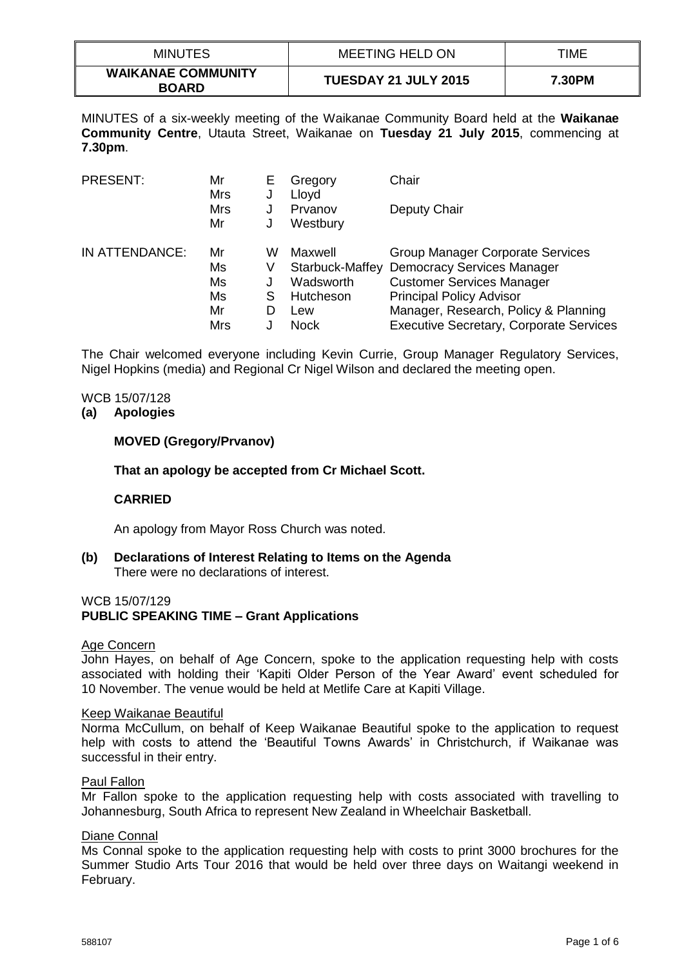| <b>MINUTES</b>                            | MEETING HELD ON             | TIME   |
|-------------------------------------------|-----------------------------|--------|
| <b>WAIKANAE COMMUNITY</b><br><b>BOARD</b> | <b>TUESDAY 21 JULY 2015</b> | 7.30PM |

MINUTES of a six-weekly meeting of the Waikanae Community Board held at the **Waikanae Community Centre**, Utauta Street, Waikanae on **Tuesday 21 July 2015**, commencing at **7.30pm**.

| <b>PRESENT:</b> | Mr<br><b>Mrs</b> | E<br>J | Gregory<br>Lloyd | Chair                                          |
|-----------------|------------------|--------|------------------|------------------------------------------------|
|                 | <b>Mrs</b>       | J      | Prvanov          | Deputy Chair                                   |
|                 | Mr               | J      | Westbury         |                                                |
| IN ATTENDANCE:  | Mr               | W      | Maxwell          | <b>Group Manager Corporate Services</b>        |
|                 | Ms               | V      | Starbuck-Maffey  | <b>Democracy Services Manager</b>              |
|                 | Ms               |        | Wadsworth        | <b>Customer Services Manager</b>               |
|                 | Ms               | S      | Hutcheson        | <b>Principal Policy Advisor</b>                |
|                 | Mr               | D      | Lew              | Manager, Research, Policy & Planning           |
|                 | <b>Mrs</b>       |        | <b>Nock</b>      | <b>Executive Secretary, Corporate Services</b> |

The Chair welcomed everyone including Kevin Currie, Group Manager Regulatory Services, Nigel Hopkins (media) and Regional Cr Nigel Wilson and declared the meeting open.

### WCB 15/07/128

### **(a) Apologies**

#### **MOVED (Gregory/Prvanov)**

#### **That an apology be accepted from Cr Michael Scott.**

### **CARRIED**

An apology from Mayor Ross Church was noted.

**(b) Declarations of Interest Relating to Items on the Agenda** There were no declarations of interest.

#### WCB 15/07/129

### **PUBLIC SPEAKING TIME – Grant Applications**

#### Age Concern

John Hayes, on behalf of Age Concern, spoke to the application requesting help with costs associated with holding their 'Kapiti Older Person of the Year Award' event scheduled for 10 November. The venue would be held at Metlife Care at Kapiti Village.

#### Keep Waikanae Beautiful

Norma McCullum, on behalf of Keep Waikanae Beautiful spoke to the application to request help with costs to attend the 'Beautiful Towns Awards' in Christchurch, if Waikanae was successful in their entry.

#### Paul Fallon

Mr Fallon spoke to the application requesting help with costs associated with travelling to Johannesburg, South Africa to represent New Zealand in Wheelchair Basketball.

### Diane Connal

Ms Connal spoke to the application requesting help with costs to print 3000 brochures for the Summer Studio Arts Tour 2016 that would be held over three days on Waitangi weekend in February.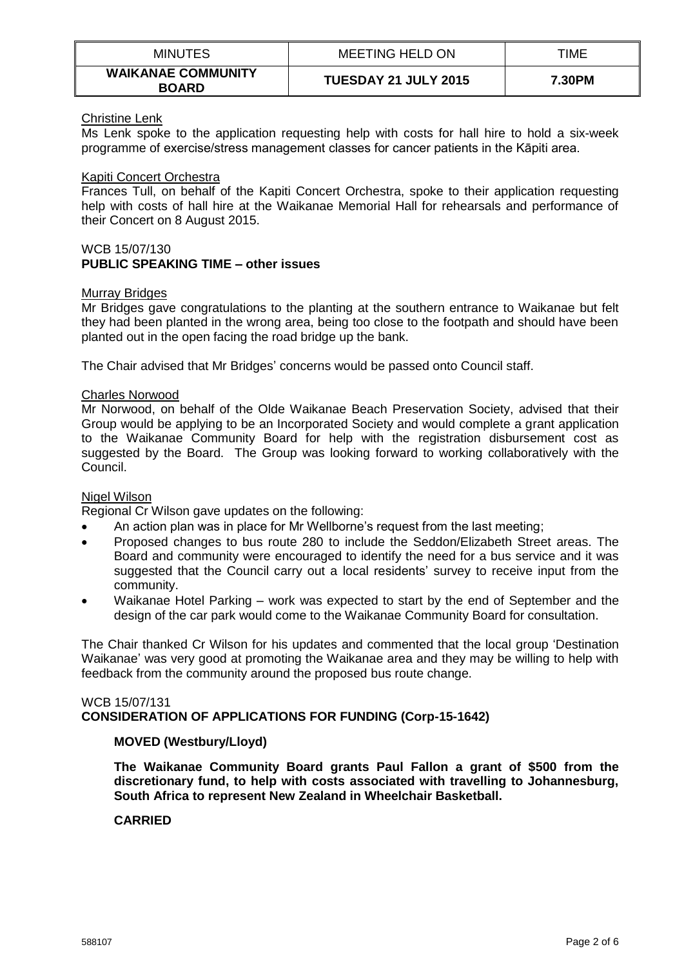| <b>MINUTES</b>                            | MEETING HELD ON             | TIME   |
|-------------------------------------------|-----------------------------|--------|
| <b>WAIKANAE COMMUNITY</b><br><b>BOARD</b> | <b>TUESDAY 21 JULY 2015</b> | 7.30PM |

## Christine Lenk

Ms Lenk spoke to the application requesting help with costs for hall hire to hold a six-week programme of exercise/stress management classes for cancer patients in the Kāpiti area.

### Kapiti Concert Orchestra

Frances Tull, on behalf of the Kapiti Concert Orchestra, spoke to their application requesting help with costs of hall hire at the Waikanae Memorial Hall for rehearsals and performance of their Concert on 8 August 2015.

### WCB 15/07/130 **PUBLIC SPEAKING TIME – other issues**

### Murray Bridges

Mr Bridges gave congratulations to the planting at the southern entrance to Waikanae but felt they had been planted in the wrong area, being too close to the footpath and should have been planted out in the open facing the road bridge up the bank.

The Chair advised that Mr Bridges' concerns would be passed onto Council staff.

### Charles Norwood

Mr Norwood, on behalf of the Olde Waikanae Beach Preservation Society, advised that their Group would be applying to be an Incorporated Society and would complete a grant application to the Waikanae Community Board for help with the registration disbursement cost as suggested by the Board. The Group was looking forward to working collaboratively with the Council.

### Nigel Wilson

Regional Cr Wilson gave updates on the following:

- An action plan was in place for Mr Wellborne's request from the last meeting;
- Proposed changes to bus route 280 to include the Seddon/Elizabeth Street areas. The Board and community were encouraged to identify the need for a bus service and it was suggested that the Council carry out a local residents' survey to receive input from the community.
- Waikanae Hotel Parking work was expected to start by the end of September and the design of the car park would come to the Waikanae Community Board for consultation.

The Chair thanked Cr Wilson for his updates and commented that the local group 'Destination Waikanae' was very good at promoting the Waikanae area and they may be willing to help with feedback from the community around the proposed bus route change.

### WCB 15/07/131 **CONSIDERATION OF APPLICATIONS FOR FUNDING (Corp-15-1642)**

## **MOVED (Westbury/Lloyd)**

**The Waikanae Community Board grants Paul Fallon a grant of \$500 from the discretionary fund, to help with costs associated with travelling to Johannesburg, South Africa to represent New Zealand in Wheelchair Basketball.**

### **CARRIED**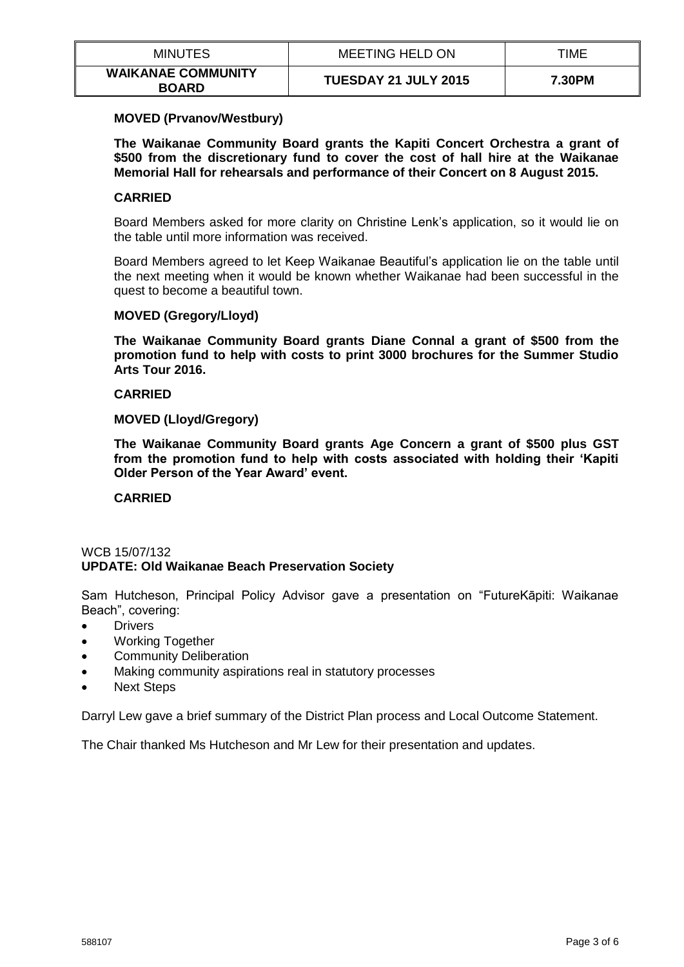| <b>MINUTES</b>                            | MEETING HELD ON      | TIME   |
|-------------------------------------------|----------------------|--------|
| <b>WAIKANAE COMMUNITY</b><br><b>BOARD</b> | TUESDAY 21 JULY 2015 | 7.30PM |

### **MOVED (Prvanov/Westbury)**

**The Waikanae Community Board grants the Kapiti Concert Orchestra a grant of \$500 from the discretionary fund to cover the cost of hall hire at the Waikanae Memorial Hall for rehearsals and performance of their Concert on 8 August 2015.**

### **CARRIED**

Board Members asked for more clarity on Christine Lenk's application, so it would lie on the table until more information was received.

Board Members agreed to let Keep Waikanae Beautiful's application lie on the table until the next meeting when it would be known whether Waikanae had been successful in the quest to become a beautiful town.

### **MOVED (Gregory/Lloyd)**

**The Waikanae Community Board grants Diane Connal a grant of \$500 from the promotion fund to help with costs to print 3000 brochures for the Summer Studio Arts Tour 2016.**

### **CARRIED**

**MOVED (Lloyd/Gregory)**

**The Waikanae Community Board grants Age Concern a grant of \$500 plus GST from the promotion fund to help with costs associated with holding their 'Kapiti Older Person of the Year Award' event.**

# **CARRIED**

# WCB 15/07/132 **UPDATE: Old Waikanae Beach Preservation Society**

Sam Hutcheson, Principal Policy Advisor gave a presentation on "FutureKāpiti: Waikanae Beach", covering:

- **•** Drivers
- Working Together
- Community Deliberation
- Making community aspirations real in statutory processes
- Next Steps

Darryl Lew gave a brief summary of the District Plan process and Local Outcome Statement.

The Chair thanked Ms Hutcheson and Mr Lew for their presentation and updates.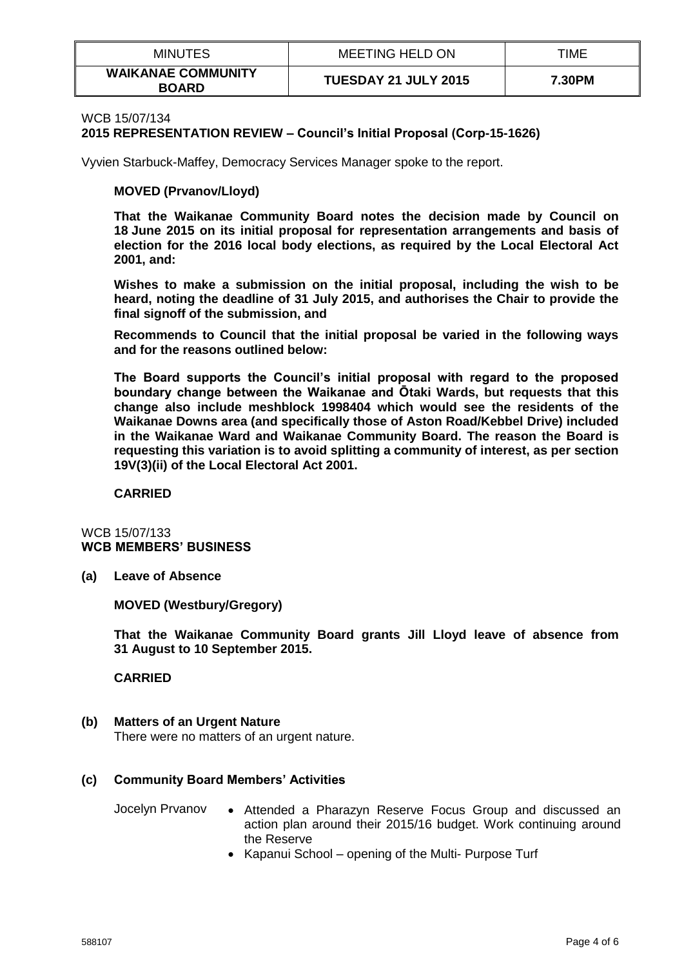| <b>MINUTES</b>                            | MEETING HELD ON      | TIME   |
|-------------------------------------------|----------------------|--------|
| <b>WAIKANAE COMMUNITY</b><br><b>BOARD</b> | TUESDAY 21 JULY 2015 | 7.30PM |

### WCB 15/07/134

**2015 REPRESENTATION REVIEW – Council's Initial Proposal (Corp-15-1626)**

Vyvien Starbuck-Maffey, Democracy Services Manager spoke to the report.

## **MOVED (Prvanov/Lloyd)**

**That the Waikanae Community Board notes the decision made by Council on 18 June 2015 on its initial proposal for representation arrangements and basis of election for the 2016 local body elections, as required by the Local Electoral Act 2001, and:**

**Wishes to make a submission on the initial proposal, including the wish to be heard, noting the deadline of 31 July 2015, and authorises the Chair to provide the final signoff of the submission, and**

**Recommends to Council that the initial proposal be varied in the following ways and for the reasons outlined below:**

**The Board supports the Council's initial proposal with regard to the proposed boundary change between the Waikanae and Ōtaki Wards, but requests that this change also include meshblock 1998404 which would see the residents of the Waikanae Downs area (and specifically those of Aston Road/Kebbel Drive) included in the Waikanae Ward and Waikanae Community Board. The reason the Board is requesting this variation is to avoid splitting a community of interest, as per section 19V(3)(ii) of the Local Electoral Act 2001.**

**CARRIED**

### WCB 15/07/133 **WCB MEMBERS' BUSINESS**

**(a) Leave of Absence**

**MOVED (Westbury/Gregory)**

**That the Waikanae Community Board grants Jill Lloyd leave of absence from 31 August to 10 September 2015.**

**CARRIED**

# **(b) Matters of an Urgent Nature**

There were no matters of an urgent nature.

# **(c) Community Board Members' Activities**

- Jocelyn Prvanov . Attended a Pharazyn Reserve Focus Group and discussed an action plan around their 2015/16 budget. Work continuing around the Reserve
	- Kapanui School opening of the Multi- Purpose Turf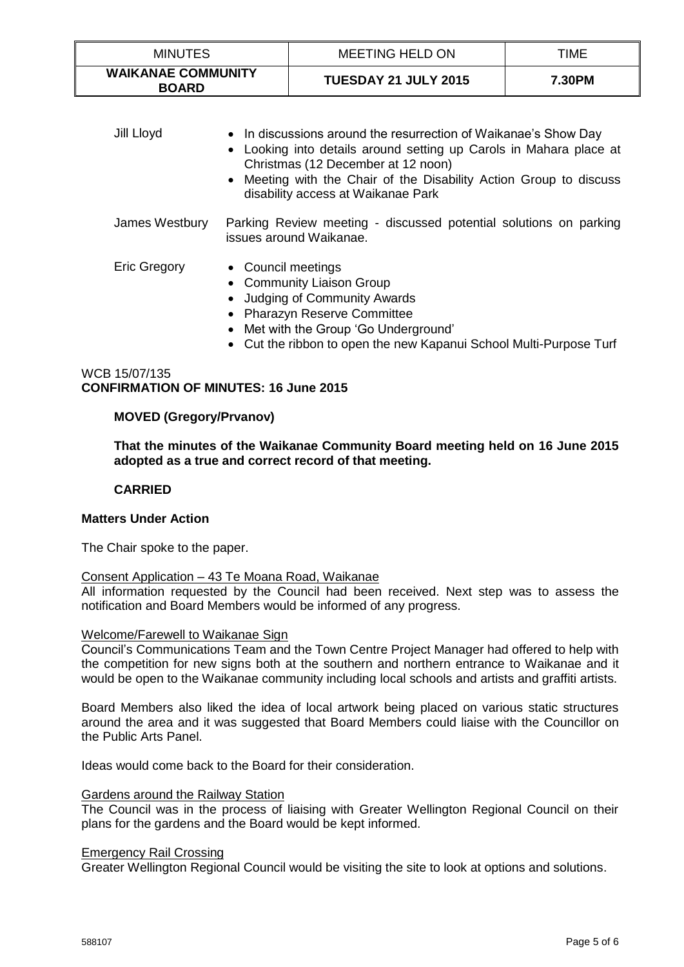| <b>MINUTES</b>                            | <b>MEETING HELD ON</b>      | TIME   |
|-------------------------------------------|-----------------------------|--------|
| <b>WAIKANAE COMMUNITY</b><br><b>BOARD</b> | <b>TUESDAY 21 JULY 2015</b> | 7.30PM |

| Jill Lloyd          | • In discussions around the resurrection of Waikanae's Show Day<br>Looking into details around setting up Carols in Mahara place at<br>$\bullet$<br>Christmas (12 December at 12 noon)<br>• Meeting with the Chair of the Disability Action Group to discuss<br>disability access at Waikanae Park |
|---------------------|----------------------------------------------------------------------------------------------------------------------------------------------------------------------------------------------------------------------------------------------------------------------------------------------------|
| James Westbury      | Parking Review meeting - discussed potential solutions on parking<br>issues around Waikanae.                                                                                                                                                                                                       |
| <b>Eric Gregory</b> | • Council meetings<br>• Community Liaison Group<br><b>Judging of Community Awards</b><br>• Pharazyn Reserve Committee<br>• Met with the Group 'Go Underground'<br>• Cut the ribbon to open the new Kapanui School Multi-Purpose Turf                                                               |

# WCB 15/07/135 **CONFIRMATION OF MINUTES: 16 June 2015**

# **MOVED (Gregory/Prvanov)**

**That the minutes of the Waikanae Community Board meeting held on 16 June 2015 adopted as a true and correct record of that meeting.** 

### **CARRIED**

### **Matters Under Action**

The Chair spoke to the paper.

### Consent Application – 43 Te Moana Road, Waikanae

All information requested by the Council had been received. Next step was to assess the notification and Board Members would be informed of any progress.

### Welcome/Farewell to Waikanae Sign

Council's Communications Team and the Town Centre Project Manager had offered to help with the competition for new signs both at the southern and northern entrance to Waikanae and it would be open to the Waikanae community including local schools and artists and graffiti artists.

Board Members also liked the idea of local artwork being placed on various static structures around the area and it was suggested that Board Members could liaise with the Councillor on the Public Arts Panel.

Ideas would come back to the Board for their consideration.

### Gardens around the Railway Station

The Council was in the process of liaising with Greater Wellington Regional Council on their plans for the gardens and the Board would be kept informed.

### Emergency Rail Crossing

Greater Wellington Regional Council would be visiting the site to look at options and solutions.